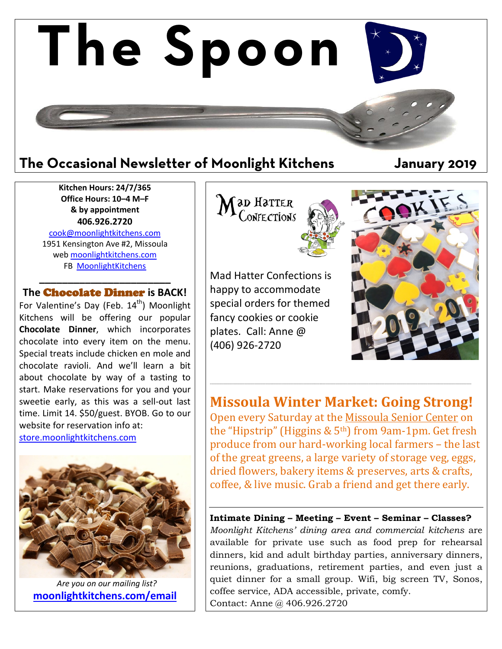

**Kitchen Hours: 24/7/365 Office Hours: 10–4 M–F & by appointment 406.926.2720**

[cook@moonlightkitchens.com](mailto:cook@moonlightkitchens.com) 1951 Kensington Ave #2, Missoula web [moonlightkitchens.com](http://moonlightkitchens.com/) FB [MoonlightKitchens](https://www.facebook.com/moonlightkitchens)

**\_\_\_\_\_\_\_\_\_\_\_\_\_\_\_\_\_\_\_\_\_\_\_ The** Chocolate Dinner **is BACK!**

For Valentine's Day (Feb.  $14<sup>th</sup>$ ) Moonlight Kitchens will be offering our popular **Chocolate Dinner**, which incorporates chocolate into every item on the menu. Special treats include chicken en mole and chocolate ravioli. And we'll learn a bit about chocolate by way of a tasting to start. Make reservations for you and your sweetie early, as this was a sell-out last time. Limit 14. \$50/guest. BYOB. Go to our website for reservation info at: [store.moonlightkitchens.com](http://store.moonlightkitchens.com/)

 *Are you on our mailing list?* **[moonlightkitchens.com/email](http://moonlightkitchens.com/email/)** **ad Hatter** ONFECTIONS

Mad Hatter Confections is happy to accommodate special orders for themed fancy cookies or cookie plates. Call: Anne @ (406) 926-2720



**Missoula Winter Market: Going Strong!**

\_\_\_\_\_\_\_\_\_\_\_\_\_\_\_\_\_\_\_\_\_\_\_\_\_\_\_\_\_\_\_\_\_\_\_\_\_\_\_\_\_\_\_\_\_\_\_\_\_\_\_\_\_\_\_\_\_\_\_\_\_\_\_\_\_\_\_\_\_\_\_\_\_\_\_\_\_\_\_\_\_\_\_\_\_\_\_\_\_\_\_\_\_\_\_\_\_\_\_\_\_\_\_\_\_\_\_\_\_\_\_\_\_\_\_\_\_\_\_\_\_\_\_\_\_\_\_\_\_\_\_\_\_\_\_\_\_\_\_\_\_\_\_\_\_\_\_\_\_\_\_\_\_\_\_\_\_\_\_\_

Open every Saturday at the Missoula Senior Center on the "Hipstrip" (Higgins  $& 5<sup>th</sup>$ ) from 9am-1pm. Get fresh produce from our hard-working local farmers – the last of the great greens, a large variety of storage veg, eggs, dried flowers, bakery items & preserves, arts & crafts, coffee, & live music. Grab a friend and get there early.

**Intimate Dining – Meeting – Event – Seminar – Classes?** *Moonlight Kitchens' dining area and commercial kitchens* are available for private use such as food prep for rehearsal dinners, kid and adult birthday parties, anniversary dinners, reunions, graduations, retirement parties, and even just a quiet dinner for a small group. Wifi, big screen TV, Sonos, coffee service, ADA accessible, private, comfy. Contact: Anne @ 406.926.2720